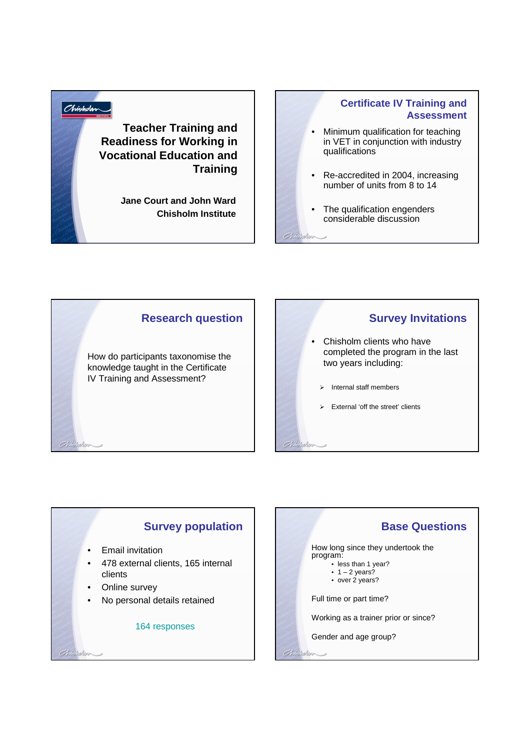## Chisholm **Teacher Training and Readiness for Working in Vocational Education and Training**

**Jane Court and John Ward Chisholm Institute**

## **Certificate IV Training and Assessment**

- Minimum qualification for teaching in VET in conjunction with industry qualifications
- Re-accredited in 2004, increasing number of units from 8 to 14
- The qualification engenders considerable discussion

 $Chb$ 

Chipholin

### **Research question**

How do participants taxonomise the knowledge taught in the Certificate IV Training and Assessment?

## **Survey Invitations**

- Chisholm clients who have completed the program in the last two years including:
	- $\triangleright$  Internal staff members
	- $\triangleright$  External 'off the street' clients

## **Survey population**

• Email invitation

 $Chibhbr$ 

 $Chb$ 

- 478 external clients, 165 internal clients
- Online survey
- No personal details retained

#### 164 responses

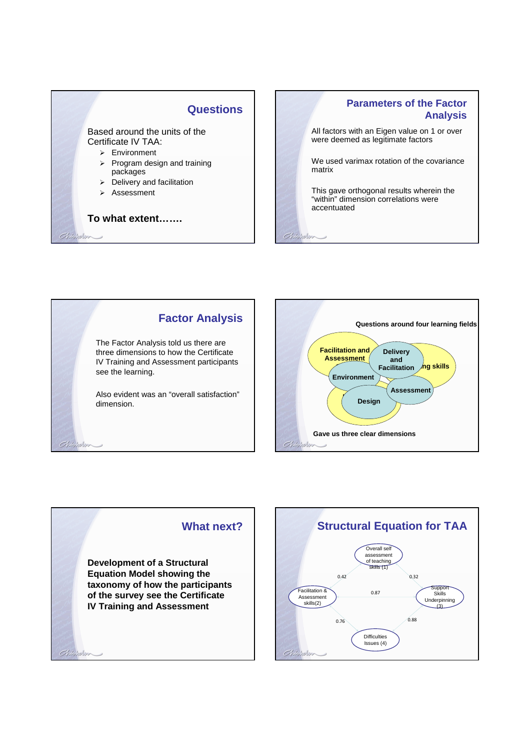## **Questions**

Based around the units of the Certificate IV TAA:

- > Environment
- $\triangleright$  Program design and training packages
- $\triangleright$  Delivery and facilitation
- > Assessment

Chickelon

Chielelon

#### **To what extent…….**

# **Parameters of the Factor Analysis**

All factors with an Eigen value on 1 or over were deemed as legitimate factors

We used varimax rotation of the covariance matrix

This gave orthogonal results wherein the "within" dimension correlations were accentuated

Chicholm





## **What next?**

**Development of a Structural Equation Model showing the taxonomy of how the participants of the survey see the Certificate IV Training and Assessment**